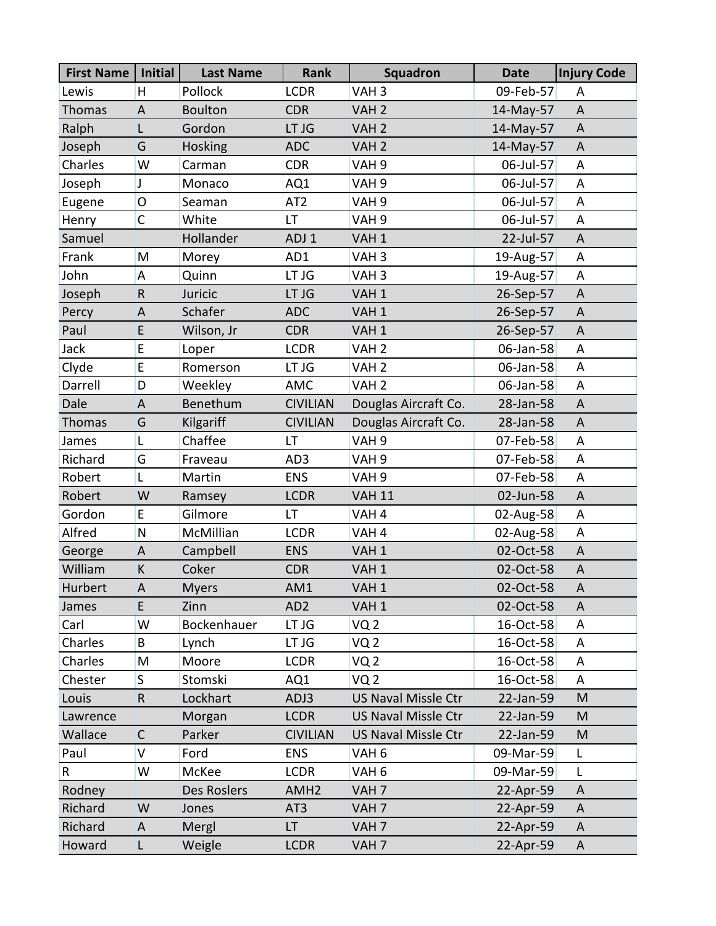| <b>First Name</b> | Initial      | <b>Last Name</b> | Rank             | Squadron                   | <b>Date</b> | <b>Injury Code</b> |
|-------------------|--------------|------------------|------------------|----------------------------|-------------|--------------------|
| Lewis             | H.           | Pollock          | <b>LCDR</b>      | VAH <sub>3</sub>           | 09-Feb-57   | Α                  |
| <b>Thomas</b>     | $\mathsf A$  | <b>Boulton</b>   | <b>CDR</b>       | VAH <sub>2</sub>           | 14-May-57   | $\mathsf A$        |
| Ralph             | L            | Gordon           | LT JG            | VAH <sub>2</sub>           | 14-May-57   | A                  |
| Joseph            | G            | Hosking          | <b>ADC</b>       | VAH <sub>2</sub>           | 14-May-57   | A                  |
| Charles           | W            | Carman           | <b>CDR</b>       | VAH <sub>9</sub>           | 06-Jul-57   | A                  |
| Joseph            | J            | Monaco           | AQ1              | VAH <sub>9</sub>           | 06-Jul-57   | A                  |
| Eugene            | $\mathsf{O}$ | Seaman           | AT <sub>2</sub>  | VAH <sub>9</sub>           | 06-Jul-57   | A                  |
| Henry             | $\mathsf{C}$ | White            | LT               | VAH <sub>9</sub>           | 06-Jul-57   | A                  |
| Samuel            |              | Hollander        | ADJ <sub>1</sub> | VAH <sub>1</sub>           | 22-Jul-57   | A                  |
| Frank             | M            | Morey            | AD1              | VAH <sub>3</sub>           | 19-Aug-57   | A                  |
| John              | A            | Quinn            | LT JG            | VAH <sub>3</sub>           | 19-Aug-57   | A                  |
| Joseph            | $\mathsf R$  | Juricic          | LT JG            | VAH <sub>1</sub>           | 26-Sep-57   | A                  |
| Percy             | A            | Schafer          | <b>ADC</b>       | VAH <sub>1</sub>           | 26-Sep-57   | A                  |
| Paul              | E            | Wilson, Jr       | <b>CDR</b>       | VAH <sub>1</sub>           | 26-Sep-57   | A                  |
| Jack              | E            | Loper            | <b>LCDR</b>      | VAH <sub>2</sub>           | 06-Jan-58   | A                  |
| Clyde             | E            | Romerson         | LT JG            | VAH <sub>2</sub>           | 06-Jan-58   | A                  |
| Darrell           | D            | Weekley          | AMC              | VAH <sub>2</sub>           | 06-Jan-58   | A                  |
| Dale              | $\mathsf A$  | Benethum         | <b>CIVILIAN</b>  | Douglas Aircraft Co.       | 28-Jan-58   | A                  |
| Thomas            | G            | Kilgariff        | <b>CIVILIAN</b>  | Douglas Aircraft Co.       | 28-Jan-58   | A                  |
| James             | Г            | Chaffee          | LT               | VAH <sub>9</sub>           | 07-Feb-58   | A                  |
| Richard           | G            | Fraveau          | AD3              | VAH <sub>9</sub>           | 07-Feb-58   | A                  |
| Robert            | L            | Martin           | <b>ENS</b>       | VAH <sub>9</sub>           | 07-Feb-58   | A                  |
| Robert            | W            | Ramsey           | <b>LCDR</b>      | <b>VAH 11</b>              | 02-Jun-58   | A                  |
| Gordon            | E            | Gilmore          | LT               | VAH <sub>4</sub>           | 02-Aug-58   | A                  |
| Alfred            | N            | McMillian        | <b>LCDR</b>      | VAH <sub>4</sub>           | 02-Aug-58   | A                  |
| George            | A            | Campbell         | <b>ENS</b>       | VAH <sub>1</sub>           | 02-Oct-58   | A                  |
| William           | К            | Coker            | <b>CDR</b>       | VAH <sub>1</sub>           | 02-Oct-58   | A                  |
| Hurbert           | A            | <b>Myers</b>     | AM1              | VAH <sub>1</sub>           | 02-Oct-58   | $\sf A$            |
| James             | E            | Zinn             | AD <sub>2</sub>  | VAH <sub>1</sub>           | 02-Oct-58   | A                  |
| Carl              | W            | Bockenhauer      | LT JG            | VQ <sub>2</sub>            | 16-Oct-58   | Α                  |
| Charles           | B            | Lynch            | LT JG            | VQ <sub>2</sub>            | 16-Oct-58   | A                  |
| Charles           | M            | Moore            | <b>LCDR</b>      | VQ <sub>2</sub>            | 16-Oct-58   | A                  |
| Chester           | S            | Stomski          | AQ1              | VQ <sub>2</sub>            | 16-Oct-58   | A                  |
| Louis             | $\sf R$      | Lockhart         | ADJ3             | <b>US Naval Missle Ctr</b> | 22-Jan-59   | M                  |
| Lawrence          |              | Morgan           | <b>LCDR</b>      | <b>US Naval Missle Ctr</b> | 22-Jan-59   | M                  |
| Wallace           | $\mathsf{C}$ | Parker           | <b>CIVILIAN</b>  | US Naval Missle Ctr        | 22-Jan-59   | M                  |
| Paul              | V            | Ford             | <b>ENS</b>       | VAH <sub>6</sub>           | 09-Mar-59   | L                  |
| R                 | W            | McKee            | <b>LCDR</b>      | VAH <sub>6</sub>           | 09-Mar-59   | L                  |
| Rodney            |              | Des Roslers      | AMH <sub>2</sub> | VAH <sub>7</sub>           | 22-Apr-59   | A                  |
| Richard           | W            | Jones            | AT <sub>3</sub>  | VAH <sub>7</sub>           | 22-Apr-59   | A                  |
| Richard           | A            | Mergl            | LT               | VAH <sub>7</sub>           | 22-Apr-59   | A                  |
| Howard            | L            | Weigle           | <b>LCDR</b>      | VAH <sub>7</sub>           | 22-Apr-59   | A                  |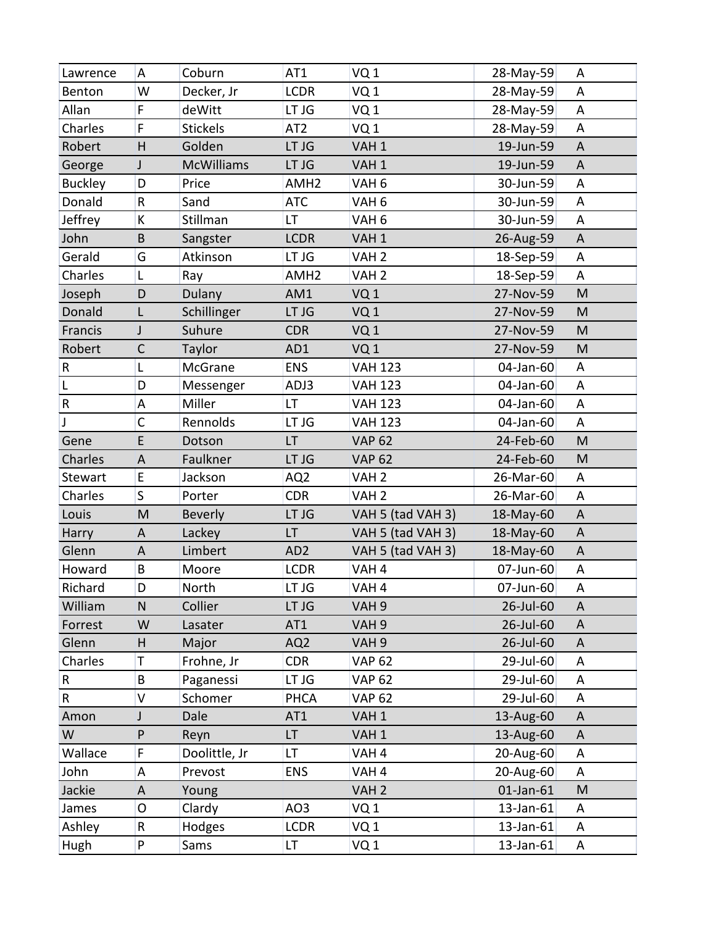| Lawrence       | A            | Coburn            | AT1              | VQ <sub>1</sub>   | 28-May-59 | A            |
|----------------|--------------|-------------------|------------------|-------------------|-----------|--------------|
| Benton         | W            | Decker, Jr        | <b>LCDR</b>      | VQ <sub>1</sub>   | 28-May-59 | A            |
| Allan          | F            | deWitt            | LT JG            | VQ <sub>1</sub>   | 28-May-59 | A            |
| Charles        | F            | <b>Stickels</b>   | AT <sub>2</sub>  | VQ <sub>1</sub>   | 28-May-59 | A            |
| Robert         | H            | Golden            | LT JG            | VAH <sub>1</sub>  | 19-Jun-59 | $\mathsf{A}$ |
| George         | J            | <b>McWilliams</b> | LT JG            | VAH <sub>1</sub>  | 19-Jun-59 | A            |
| <b>Buckley</b> | D            | Price             | AMH <sub>2</sub> | VAH <sub>6</sub>  | 30-Jun-59 | A            |
| Donald         | R            | Sand              | <b>ATC</b>       | VAH <sub>6</sub>  | 30-Jun-59 | A            |
| Jeffrey        | K            | Stillman          | LT               | VAH <sub>6</sub>  | 30-Jun-59 | A            |
| John           | B            | Sangster          | <b>LCDR</b>      | VAH <sub>1</sub>  | 26-Aug-59 | A            |
| Gerald         | G            | Atkinson          | LT JG            | VAH <sub>2</sub>  | 18-Sep-59 | A            |
| Charles        | L            | Ray               | AMH <sub>2</sub> | VAH <sub>2</sub>  | 18-Sep-59 | A            |
| Joseph         | D            | Dulany            | AM1              | VQ <sub>1</sub>   | 27-Nov-59 | M            |
| Donald         | L            | Schillinger       | LT JG            | VQ <sub>1</sub>   | 27-Nov-59 | M            |
| Francis        | J            | Suhure            | <b>CDR</b>       | VQ <sub>1</sub>   | 27-Nov-59 | M            |
| Robert         | $\mathsf{C}$ | Taylor            | AD1              | VQ <sub>1</sub>   | 27-Nov-59 | M            |
| R              | L            | McGrane           | <b>ENS</b>       | <b>VAH 123</b>    | 04-Jan-60 | A            |
| L              | D            | Messenger         | ADJ3             | <b>VAH 123</b>    | 04-Jan-60 | A            |
| ${\sf R}$      | А            | Miller            | LT               | <b>VAH 123</b>    | 04-Jan-60 | A            |
| J              | $\mathsf{C}$ | Rennolds          | LT JG            | <b>VAH 123</b>    | 04-Jan-60 | A            |
| Gene           | E            | Dotson            | LT               | <b>VAP 62</b>     | 24-Feb-60 | M            |
| Charles        | A            | Faulkner          | LT JG            | <b>VAP 62</b>     | 24-Feb-60 | M            |
| Stewart        | E            | Jackson           | AQ <sub>2</sub>  | VAH <sub>2</sub>  | 26-Mar-60 | A            |
| Charles        | $\mathsf{S}$ | Porter            | <b>CDR</b>       | VAH <sub>2</sub>  | 26-Mar-60 | A            |
| Louis          | M            | <b>Beverly</b>    | LT JG            | VAH 5 (tad VAH 3) | 18-May-60 | A            |
| Harry          | A            | Lackey            | LT               | VAH 5 (tad VAH 3) | 18-May-60 | A            |
| Glenn          | A            | Limbert           | AD <sub>2</sub>  | VAH 5 (tad VAH 3) | 18-May-60 | A            |
| Howard         | B            | Moore             | <b>LCDR</b>      | VAH <sub>4</sub>  | 07-Jun-60 | A            |
| Richard        | D            | North             | LT JG            | VAH <sub>4</sub>  | 07-Jun-60 | A            |
| William        | N            | Collier           | LT JG            | VAH <sub>9</sub>  | 26-Jul-60 | A            |
| Forrest        | W            | Lasater           | AT1              | VAH <sub>9</sub>  | 26-Jul-60 | A            |
| Glenn          | Н            | Major             | AQ <sub>2</sub>  | VAH <sub>9</sub>  | 26-Jul-60 | A            |
| Charles        | Τ            | Frohne, Jr        | <b>CDR</b>       | <b>VAP 62</b>     | 29-Jul-60 | A            |
| R              | B            | Paganessi         | LT JG            | <b>VAP 62</b>     | 29-Jul-60 | A            |
| R              | V            | Schomer           | <b>PHCA</b>      | <b>VAP 62</b>     | 29-Jul-60 | A            |
| Amon           | J            | Dale              | AT <sub>1</sub>  | VAH <sub>1</sub>  | 13-Aug-60 | A            |
| W              | P            | Reyn              | LT.              | VAH <sub>1</sub>  | 13-Aug-60 | $\mathsf{A}$ |
| Wallace        | F            | Doolittle, Jr     | LT               | VAH <sub>4</sub>  | 20-Aug-60 | A            |
| John           | А            | Prevost           | <b>ENS</b>       | VAH <sub>4</sub>  | 20-Aug-60 | A            |
| Jackie         | A            | Young             |                  | VAH <sub>2</sub>  | 01-Jan-61 | M            |
| James          | O            | Clardy            | AO3              | VQ <sub>1</sub>   | 13-Jan-61 | A            |
| Ashley         | R            | Hodges            | <b>LCDR</b>      | VQ <sub>1</sub>   | 13-Jan-61 | A            |
| Hugh           | P            | Sams              | LT.              | VQ 1              | 13-Jan-61 | A            |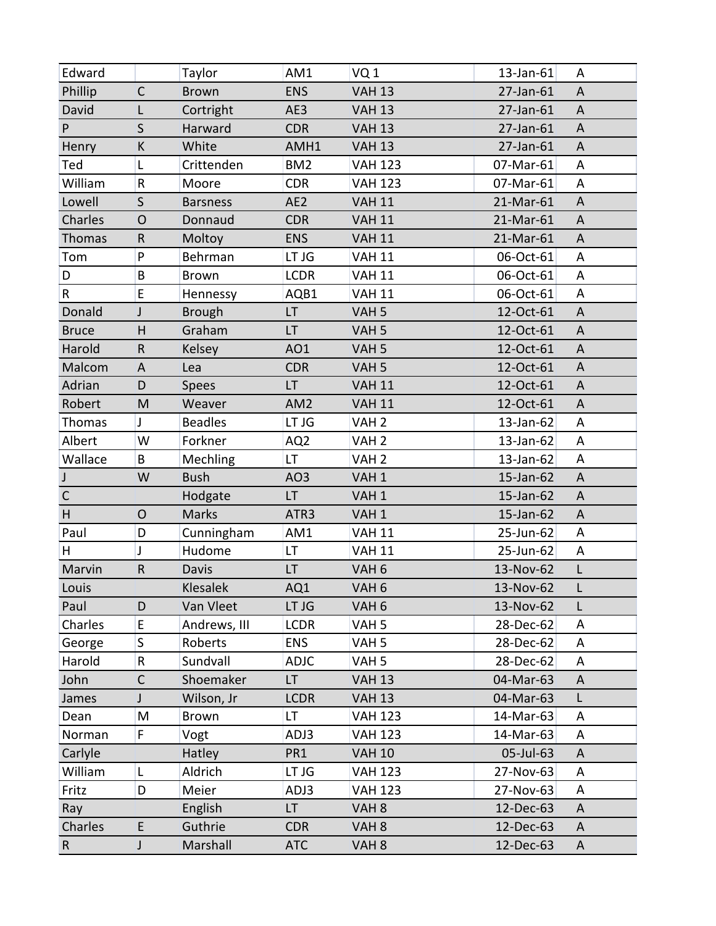| Edward       |              | Taylor          | AM1             | VQ1              | 13-Jan-61 | A |
|--------------|--------------|-----------------|-----------------|------------------|-----------|---|
| Phillip      | $\mathsf{C}$ | <b>Brown</b>    | <b>ENS</b>      | <b>VAH 13</b>    | 27-Jan-61 | A |
| David        | L            | Cortright       | AE3             | <b>VAH 13</b>    | 27-Jan-61 | A |
| P            | $\mathsf{S}$ | Harward         | <b>CDR</b>      | <b>VAH 13</b>    | 27-Jan-61 | A |
| Henry        | К            | White           | AMH1            | <b>VAH 13</b>    | 27-Jan-61 | A |
| Ted          | Г            | Crittenden      | BM <sub>2</sub> | <b>VAH 123</b>   | 07-Mar-61 | A |
| William      | $\sf R$      | Moore           | <b>CDR</b>      | <b>VAH 123</b>   | 07-Mar-61 | Α |
| Lowell       | $\mathsf{S}$ | <b>Barsness</b> | AE <sub>2</sub> | <b>VAH 11</b>    | 21-Mar-61 | A |
| Charles      | $\mathsf{O}$ | Donnaud         | <b>CDR</b>      | <b>VAH 11</b>    | 21-Mar-61 | A |
| Thomas       | $\sf R$      | Moltoy          | <b>ENS</b>      | <b>VAH 11</b>    | 21-Mar-61 | A |
| Tom          | P            | Behrman         | LT JG           | <b>VAH 11</b>    | 06-Oct-61 | A |
| D            | B            | <b>Brown</b>    | <b>LCDR</b>     | <b>VAH 11</b>    | 06-Oct-61 | A |
| R            | E            | Hennessy        | AQB1            | <b>VAH 11</b>    | 06-Oct-61 | A |
| Donald       | J            | <b>Brough</b>   | LT.             | VAH <sub>5</sub> | 12-Oct-61 | A |
| <b>Bruce</b> | Н            | Graham          | LT.             | VAH <sub>5</sub> | 12-Oct-61 | A |
| Harold       | R            | Kelsey          | AO1             | VAH <sub>5</sub> | 12-Oct-61 | A |
| Malcom       | A            | Lea             | <b>CDR</b>      | VAH <sub>5</sub> | 12-Oct-61 | A |
| Adrian       | D            | <b>Spees</b>    | LT              | <b>VAH 11</b>    | 12-Oct-61 | A |
| Robert       | M            | Weaver          | AM <sub>2</sub> | <b>VAH 11</b>    | 12-Oct-61 | A |
| Thomas       | J            | <b>Beadles</b>  | LT JG           | VAH <sub>2</sub> | 13-Jan-62 | A |
| Albert       | W            | Forkner         | AQ <sub>2</sub> | VAH <sub>2</sub> | 13-Jan-62 | A |
| Wallace      | B            | <b>Mechling</b> | LT              | VAH <sub>2</sub> | 13-Jan-62 | A |
| $\mathsf{J}$ | W            | <b>Bush</b>     | AO <sub>3</sub> | VAH <sub>1</sub> | 15-Jan-62 | A |
| $\mathsf C$  |              | Hodgate         | LT              | VAH <sub>1</sub> | 15-Jan-62 | A |
| H            | $\mathsf{O}$ | <b>Marks</b>    | ATR3            | VAH <sub>1</sub> | 15-Jan-62 | A |
| Paul         | D            | Cunningham      | AM1             | <b>VAH 11</b>    | 25-Jun-62 | A |
| H            | J            | Hudome          | LT              | <b>VAH 11</b>    | 25-Jun-62 | A |
| Marvin       | $\sf R$      | <b>Davis</b>    | <b>LT</b>       | VAH <sub>6</sub> | 13-Nov-62 | L |
| Louis        |              | Klesalek        | AQ1             | VAH <sub>6</sub> | 13-Nov-62 | L |
| Paul         | D            | Van Vleet       | LT JG           | VAH <sub>6</sub> | 13-Nov-62 | L |
| Charles      | E            | Andrews, III    | <b>LCDR</b>     | VAH <sub>5</sub> | 28-Dec-62 | A |
| George       | S.           | Roberts         | <b>ENS</b>      | VAH <sub>5</sub> | 28-Dec-62 | A |
| Harold       | R            | Sundvall        | <b>ADJC</b>     | VAH <sub>5</sub> | 28-Dec-62 | A |
| John         | $\mathsf{C}$ | Shoemaker       | LT.             | <b>VAH 13</b>    | 04-Mar-63 | A |
| James        | J            | Wilson, Jr      | <b>LCDR</b>     | <b>VAH 13</b>    | 04-Mar-63 | L |
| Dean         | M            | Brown           | LT              | <b>VAH 123</b>   | 14-Mar-63 | A |
| Norman       | F.           | Vogt            | ADJ3            | <b>VAH 123</b>   | 14-Mar-63 | A |
| Carlyle      |              | Hatley          | PR1             | <b>VAH 10</b>    | 05-Jul-63 | A |
| William      | L            | Aldrich         | LT JG           | <b>VAH 123</b>   | 27-Nov-63 | A |
| Fritz        | D            | Meier           | ADJ3            | <b>VAH 123</b>   | 27-Nov-63 | A |
| Ray          |              | English         | LT              | VAH <sub>8</sub> | 12-Dec-63 | A |
| Charles      | E            | Guthrie         | <b>CDR</b>      | VAH <sub>8</sub> | 12-Dec-63 | A |
| $\mathsf{R}$ | J            | Marshall        | ATC             | VAH <sub>8</sub> | 12-Dec-63 | A |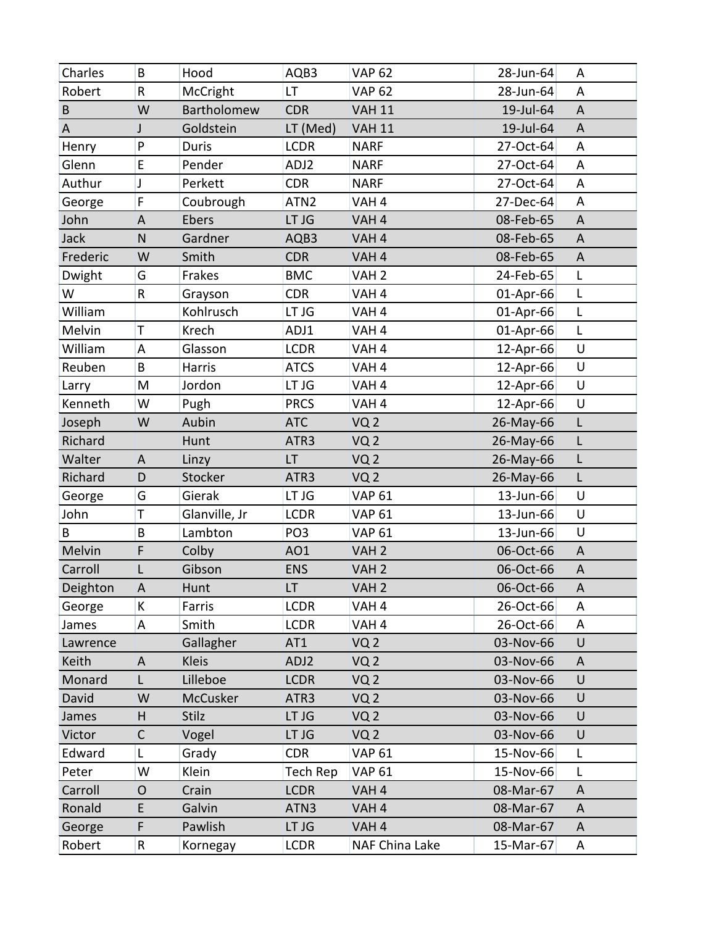| Charles  | B           | Hood          | AQB3             | <b>VAP 62</b>    | 28-Jun-64 | A      |
|----------|-------------|---------------|------------------|------------------|-----------|--------|
| Robert   | R           | McCright      | <b>LT</b>        | <b>VAP 62</b>    | 28-Jun-64 | A      |
| $\sf B$  | W           | Bartholomew   | <b>CDR</b>       | <b>VAH 11</b>    | 19-Jul-64 | A      |
| A        | J           | Goldstein     | LT (Med)         | <b>VAH 11</b>    | 19-Jul-64 | A      |
| Henry    | P           | <b>Duris</b>  | <b>LCDR</b>      | <b>NARF</b>      | 27-Oct-64 | A      |
| Glenn    | E           | Pender        | ADJ2             | <b>NARF</b>      | 27-Oct-64 | A      |
| Authur   | J           | Perkett       | <b>CDR</b>       | <b>NARF</b>      | 27-Oct-64 | A      |
| George   | F           | Coubrough     | ATN <sub>2</sub> | VAH <sub>4</sub> | 27-Dec-64 | A      |
| John     | A           | Ebers         | LT JG            | VAH <sub>4</sub> | 08-Feb-65 | A      |
| Jack     | ${\sf N}$   | Gardner       | AQB3             | VAH <sub>4</sub> | 08-Feb-65 | A      |
| Frederic | W           | Smith         | <b>CDR</b>       | VAH <sub>4</sub> | 08-Feb-65 | A      |
| Dwight   | G           | Frakes        | <b>BMC</b>       | VAH <sub>2</sub> | 24-Feb-65 | L      |
| W        | R           | Grayson       | <b>CDR</b>       | VAH <sub>4</sub> | 01-Apr-66 | L      |
| William  |             | Kohlrusch     | LT JG            | VAH <sub>4</sub> | 01-Apr-66 | L      |
| Melvin   | T           | Krech         | ADJ1             | VAH <sub>4</sub> | 01-Apr-66 | L      |
| William  | A           | Glasson       | <b>LCDR</b>      | VAH <sub>4</sub> | 12-Apr-66 | $\cup$ |
| Reuben   | B           | Harris        | <b>ATCS</b>      | VAH <sub>4</sub> | 12-Apr-66 | $\cup$ |
| Larry    | M           | Jordon        | LT JG            | VAH <sub>4</sub> | 12-Apr-66 | U      |
| Kenneth  | W           | Pugh          | <b>PRCS</b>      | VAH <sub>4</sub> | 12-Apr-66 | U      |
| Joseph   | W           | Aubin         | <b>ATC</b>       | VQ <sub>2</sub>  | 26-May-66 | Г      |
| Richard  |             | Hunt          | ATR3             | VQ <sub>2</sub>  | 26-May-66 | L      |
| Walter   | A           | Linzy         | LT               | VQ <sub>2</sub>  | 26-May-66 | L      |
| Richard  | D           | Stocker       | ATR3             | VQ <sub>2</sub>  | 26-May-66 | L      |
| George   | G           | Gierak        | LT JG            | <b>VAP 61</b>    | 13-Jun-66 | $\cup$ |
| John     | T           | Glanville, Jr | <b>LCDR</b>      | <b>VAP 61</b>    | 13-Jun-66 | $\cup$ |
| B        | B           | Lambton       | PO <sub>3</sub>  | <b>VAP 61</b>    | 13-Jun-66 | U      |
| Melvin   | F           | Colby         | AO1              | VAH <sub>2</sub> | 06-Oct-66 | A      |
| Carroll  | L           | Gibson        | <b>ENS</b>       | VAH <sub>2</sub> | 06-Oct-66 | A      |
| Deighton | A           | Hunt          | LT.              | VAH <sub>2</sub> | 06-Oct-66 | A      |
| George   | K           | Farris        | <b>LCDR</b>      | VAH <sub>4</sub> | 26-Oct-66 | A      |
| James    | A           | Smith         | <b>LCDR</b>      | VAH <sub>4</sub> | 26-Oct-66 | A      |
| Lawrence |             | Gallagher     | AT <sub>1</sub>  | VQ <sub>2</sub>  | 03-Nov-66 | U      |
| Keith    | A           | <b>Kleis</b>  | ADJ2             | VQ <sub>2</sub>  | 03-Nov-66 | A      |
| Monard   | L           | Lilleboe      | <b>LCDR</b>      | VQ <sub>2</sub>  | 03-Nov-66 | $\cup$ |
| David    | W           | McCusker      | ATR3             | VQ <sub>2</sub>  | 03-Nov-66 | U      |
| James    | Н           | Stilz         | LT JG            | VQ <sub>2</sub>  | 03-Nov-66 | U      |
| Victor   | $\mathsf C$ | Vogel         | LT JG            | VQ <sub>2</sub>  | 03-Nov-66 | $\cup$ |
| Edward   | L           | Grady         | <b>CDR</b>       | <b>VAP 61</b>    | 15-Nov-66 | L      |
| Peter    | W           | Klein         | Tech Rep         | <b>VAP 61</b>    | 15-Nov-66 | L      |
| Carroll  | O           | Crain         | <b>LCDR</b>      | VAH <sub>4</sub> | 08-Mar-67 | A      |
| Ronald   | E           | Galvin        | ATN3             | VAH <sub>4</sub> | 08-Mar-67 | A      |
| George   | F           | Pawlish       | LT JG            | VAH <sub>4</sub> | 08-Mar-67 | A      |
| Robert   | R           | Kornegay      | <b>LCDR</b>      | NAF China Lake   | 15-Mar-67 | A      |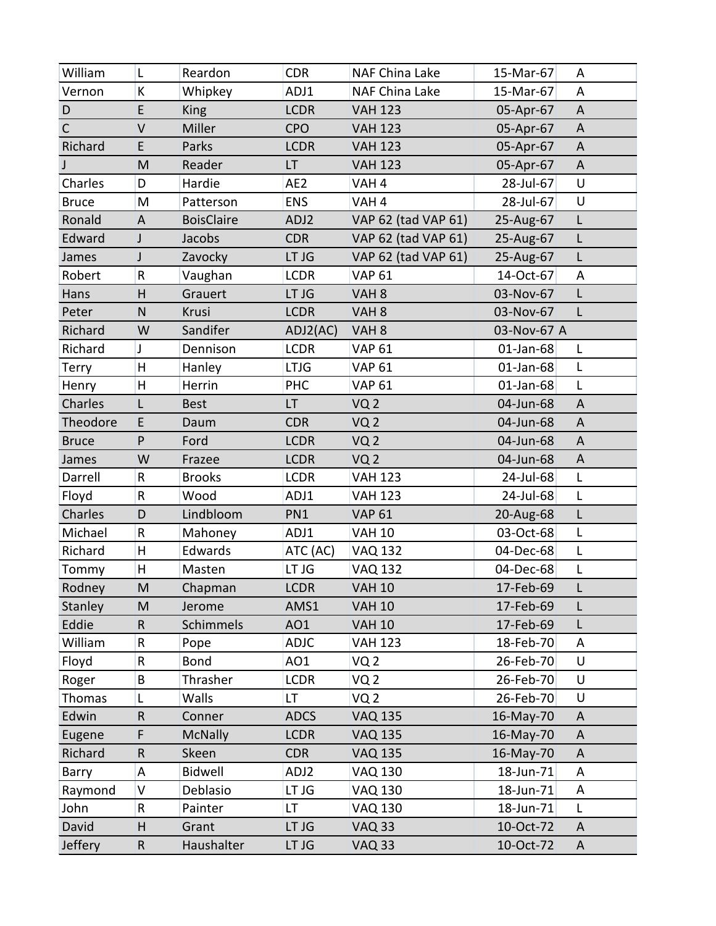| William      | L       | Reardon           | <b>CDR</b>  | NAF China Lake      | 15-Mar-67    | A |
|--------------|---------|-------------------|-------------|---------------------|--------------|---|
| Vernon       | К       | Whipkey           | ADJ1        | NAF China Lake      | 15-Mar-67    | A |
| D            | E       | <b>King</b>       | <b>LCDR</b> | <b>VAH 123</b>      | 05-Apr-67    | A |
| $\mathsf{C}$ | V       | Miller            | <b>CPO</b>  | <b>VAH 123</b>      | 05-Apr-67    | A |
| Richard      | E       | Parks             | <b>LCDR</b> | <b>VAH 123</b>      | 05-Apr-67    | A |
|              | M       | Reader            | LT          | <b>VAH 123</b>      | 05-Apr-67    | A |
| Charles      | D       | Hardie            | AE2         | VAH <sub>4</sub>    | 28-Jul-67    | U |
| <b>Bruce</b> | M       | Patterson         | <b>ENS</b>  | VAH <sub>4</sub>    | 28-Jul-67    | U |
| Ronald       | A       | <b>BoisClaire</b> | ADJ2        | VAP 62 (tad VAP 61) | 25-Aug-67    | L |
| Edward       | J       | Jacobs            | <b>CDR</b>  | VAP 62 (tad VAP 61) | 25-Aug-67    | L |
| James        | J       | Zavocky           | LT JG       | VAP 62 (tad VAP 61) | 25-Aug-67    | L |
| Robert       | R       | Vaughan           | <b>LCDR</b> | <b>VAP 61</b>       | 14-Oct-67    | A |
| Hans         | H       | Grauert           | LT JG       | VAH <sub>8</sub>    | 03-Nov-67    | L |
| Peter        | N       | Krusi             | <b>LCDR</b> | VAH <sub>8</sub>    | 03-Nov-67    | L |
| Richard      | W       | Sandifer          | ADJ2(AC)    | VAH <sub>8</sub>    | 03-Nov-67 A  |   |
| Richard      | T       | Dennison          | <b>LCDR</b> | <b>VAP 61</b>       | 01-Jan-68    | L |
| Terry        | H       | Hanley            | <b>LTJG</b> | <b>VAP 61</b>       | 01-Jan-68    | L |
| Henry        | H       | Herrin            | <b>PHC</b>  | <b>VAP 61</b>       | $01$ -Jan-68 | L |
| Charles      | L       | <b>Best</b>       | LT.         | VQ <sub>2</sub>     | 04-Jun-68    | A |
| Theodore     | E       | Daum              | <b>CDR</b>  | VQ <sub>2</sub>     | 04-Jun-68    | A |
| <b>Bruce</b> | P       | Ford              | <b>LCDR</b> | VQ <sub>2</sub>     | 04-Jun-68    | A |
| James        | W       | Frazee            | <b>LCDR</b> | VQ <sub>2</sub>     | 04-Jun-68    | A |
| Darrell      | $\sf R$ | <b>Brooks</b>     | <b>LCDR</b> | <b>VAH 123</b>      | 24-Jul-68    | L |
| Floyd        | R       | Wood              | ADJ1        | <b>VAH 123</b>      | 24-Jul-68    | L |
| Charles      | D       | Lindbloom         | PN1         | <b>VAP 61</b>       | 20-Aug-68    | Г |
| Michael      | R       | Mahoney           | ADJ1        | <b>VAH 10</b>       | 03-Oct-68    | L |
| Richard      | н       | Edwards           | ATC (AC)    | <b>VAQ 132</b>      | 04-Dec-68    | L |
| Tommy        | H       | Masten            | LT JG       | <b>VAQ 132</b>      | 04-Dec-68    | L |
| Rodney       | M       | Chapman           | <b>LCDR</b> | <b>VAH 10</b>       | 17-Feb-69    | L |
| Stanley      | M       | Jerome            | AMS1        | <b>VAH 10</b>       | 17-Feb-69    | L |
| Eddie        | $\sf R$ | Schimmels         | AO1         | <b>VAH 10</b>       | 17-Feb-69    | L |
| William      | R       | Pope              | <b>ADJC</b> | <b>VAH 123</b>      | 18-Feb-70    | A |
| Floyd        | R       | <b>Bond</b>       | AO1         | VQ <sub>2</sub>     | 26-Feb-70    | U |
| Roger        | B       | Thrasher          | <b>LCDR</b> | VQ <sub>2</sub>     | 26-Feb-70    | U |
| Thomas       |         | Walls             | LT          | VQ 2                | 26-Feb-70    | U |
| Edwin        | $\sf R$ | Conner            | <b>ADCS</b> | <b>VAQ 135</b>      | 16-May-70    | A |
| Eugene       | F       | <b>McNally</b>    | <b>LCDR</b> | <b>VAQ 135</b>      | 16-May-70    | A |
| Richard      | $\sf R$ | Skeen             | <b>CDR</b>  | <b>VAQ 135</b>      | 16-May-70    | A |
| Barry        | А       | <b>Bidwell</b>    | ADJ2        | <b>VAQ 130</b>      | 18-Jun-71    | A |
| Raymond      | V       | Deblasio          | LT JG       | VAQ 130             | 18-Jun-71    | A |
| John         | R       | Painter           | LT          | <b>VAQ 130</b>      | 18-Jun-71    | L |
| David        | Н       | Grant             | LT JG       | <b>VAQ 33</b>       | 10-Oct-72    | A |
| Jeffery      | R       | Haushalter        | LT JG       | <b>VAQ 33</b>       | 10-Oct-72    | A |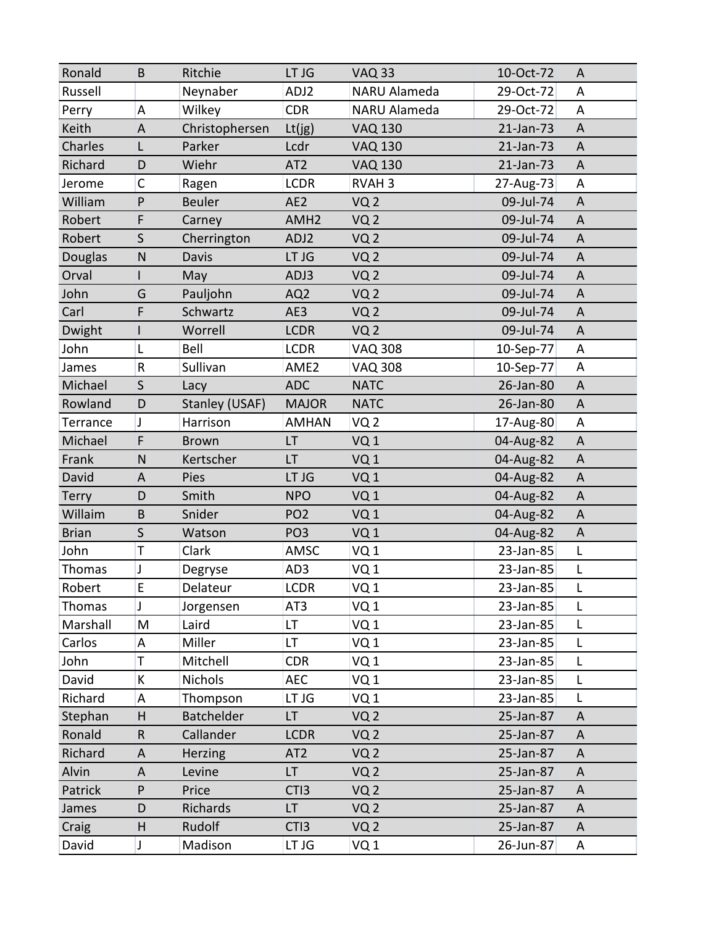| Ronald       | B            | Ritchie           | LT JG            | <b>VAQ 33</b>   | 10-Oct-72 | A           |
|--------------|--------------|-------------------|------------------|-----------------|-----------|-------------|
| Russell      |              | Neynaber          | ADJ2             | NARU Alameda    | 29-Oct-72 | A           |
| Perry        | A            | Wilkey            | <b>CDR</b>       | NARU Alameda    | 29-Oct-72 | A           |
| Keith        | $\mathsf A$  | Christophersen    | $Lt($ jg $)$     | <b>VAQ 130</b>  | 21-Jan-73 | A           |
| Charles      | L            | Parker            | Lcdr             | <b>VAQ 130</b>  | 21-Jan-73 | A           |
| Richard      | D            | Wiehr             | AT <sub>2</sub>  | <b>VAQ 130</b>  | 21-Jan-73 | A           |
| Jerome       | $\mathsf C$  | Ragen             | <b>LCDR</b>      | <b>RVAH3</b>    | 27-Aug-73 | A           |
| William      | P            | <b>Beuler</b>     | AE <sub>2</sub>  | VQ <sub>2</sub> | 09-Jul-74 | A           |
| Robert       | F            | Carney            | AMH <sub>2</sub> | VQ <sub>2</sub> | 09-Jul-74 | A           |
| Robert       | $\mathsf{S}$ | Cherrington       | ADJ2             | VQ <sub>2</sub> | 09-Jul-74 | A           |
| Douglas      | ${\sf N}$    | Davis             | LT JG            | VQ <sub>2</sub> | 09-Jul-74 | A           |
| Orval        |              | May               | ADJ3             | VQ <sub>2</sub> | 09-Jul-74 | A           |
| John         | G            | Pauljohn          | AQ <sub>2</sub>  | VQ <sub>2</sub> | 09-Jul-74 | A           |
| Carl         | F            | Schwartz          | AE3              | VQ <sub>2</sub> | 09-Jul-74 | A           |
| Dwight       |              | Worrell           | <b>LCDR</b>      | VQ <sub>2</sub> | 09-Jul-74 | A           |
| John         | L            | Bell              | <b>LCDR</b>      | <b>VAQ 308</b>  | 10-Sep-77 | A           |
| James        | R            | Sullivan          | AME <sub>2</sub> | <b>VAQ 308</b>  | 10-Sep-77 | Α           |
| Michael      | $\mathsf{S}$ | Lacy              | <b>ADC</b>       | <b>NATC</b>     | 26-Jan-80 | A           |
| Rowland      | D            | Stanley (USAF)    | <b>MAJOR</b>     | <b>NATC</b>     | 26-Jan-80 | A           |
| Terrance     | $\mathsf J$  | Harrison          | <b>AMHAN</b>     | VQ <sub>2</sub> | 17-Aug-80 | Α           |
| Michael      | F            | <b>Brown</b>      | LT               | VQ <sub>1</sub> | 04-Aug-82 | $\mathsf A$ |
| Frank        | N            | Kertscher         | LT               | VQ <sub>1</sub> | 04-Aug-82 | A           |
| David        | A            | Pies              | LT JG            | VQ <sub>1</sub> | 04-Aug-82 | A           |
| <b>Terry</b> | D            | Smith             | <b>NPO</b>       | VQ <sub>1</sub> | 04-Aug-82 | A           |
| Willaim      | B            | Snider            | PO <sub>2</sub>  | VQ <sub>1</sub> | 04-Aug-82 | A           |
| <b>Brian</b> | S            | Watson            | PO <sub>3</sub>  | VQ <sub>1</sub> | 04-Aug-82 | $\mathsf A$ |
| John         | T            | Clark             | AMSC             | VQ <sub>1</sub> | 23-Jan-85 | L           |
| Thomas       | J            | Degryse           | AD3              | VQ1             | 23-Jan-85 | L           |
| Robert       | E            | Delateur          | <b>LCDR</b>      | VQ <sub>1</sub> | 23-Jan-85 | L           |
| Thomas       | J            | Jorgensen         | AT3              | VQ <sub>1</sub> | 23-Jan-85 | L           |
| Marshall     | M            | Laird             | LT.              | VQ <sub>1</sub> | 23-Jan-85 | L           |
| Carlos       | А            | Miller            | LT               | VQ <sub>1</sub> | 23-Jan-85 | L           |
| John         | T            | Mitchell          | <b>CDR</b>       | VQ <sub>1</sub> | 23-Jan-85 | L           |
| David        | К            | <b>Nichols</b>    | <b>AEC</b>       | VQ <sub>1</sub> | 23-Jan-85 | L           |
| Richard      | Α            | Thompson          | LT JG            | VQ <sub>1</sub> | 23-Jan-85 | L           |
| Stephan      | Н            | <b>Batchelder</b> | LT.              | VQ <sub>2</sub> | 25-Jan-87 | A           |
| Ronald       | R            | Callander         | <b>LCDR</b>      | VQ <sub>2</sub> | 25-Jan-87 | A           |
| Richard      | A            | <b>Herzing</b>    | AT <sub>2</sub>  | VQ <sub>2</sub> | 25-Jan-87 | A           |
| Alvin        | A            | Levine            | LT.              | VQ <sub>2</sub> | 25-Jan-87 | A           |
| Patrick      | P            | Price             | CTI <sub>3</sub> | VQ <sub>2</sub> | 25-Jan-87 | A           |
| James        | D            | Richards          | LT               | VQ <sub>2</sub> | 25-Jan-87 | A           |
| Craig        | H            | Rudolf            | CTI <sub>3</sub> | VQ <sub>2</sub> | 25-Jan-87 | A           |
| David        | J            | Madison           | LT JG            | VQ 1            | 26-Jun-87 | A           |